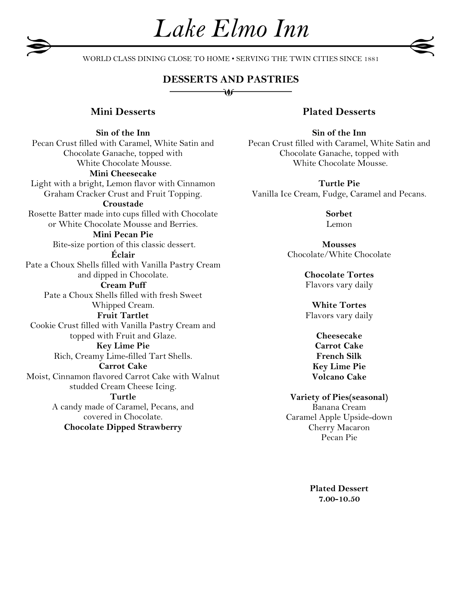WORLD CLASS DINING CLOSE TO HOME • SERVING THE TWIN CITIES SINCE 1881

*Lake Elmo Inn*

## **DESSERTS AND PASTRIES**

 $\sqrt{10}$ 

### **Mini Desserts**

**Sin of the Inn** Pecan Crust filled with Caramel, White Satin and Chocolate Ganache, topped with White Chocolate Mousse. **Mini Cheesecake** Light with a bright, Lemon flavor with Cinnamon Graham Cracker Crust and Fruit Topping. **Croustade** Rosette Batter made into cups filled with Chocolate or White Chocolate Mousse and Berries. **Mini Pecan Pie** Bite-size portion of this classic dessert. **Éclair** Pate a Choux Shells filled with Vanilla Pastry Cream and dipped in Chocolate. **Cream Puff** Pate a Choux Shells filled with fresh Sweet Whipped Cream. **Fruit Tartlet** Cookie Crust filled with Vanilla Pastry Cream and topped with Fruit and Glaze. **Key Lime Pie** Rich, Creamy Lime-filled Tart Shells. **Carrot Cake** Moist, Cinnamon flavored Carrot Cake with Walnut studded Cream Cheese Icing. **Turtle** A candy made of Caramel, Pecans, and covered in Chocolate. **Chocolate Dipped Strawberry**

## **Plated Desserts**

**Sin of the Inn** Pecan Crust filled with Caramel, White Satin and Chocolate Ganache, topped with White Chocolate Mousse.

**Turtle Pie** Vanilla Ice Cream, Fudge, Caramel and Pecans.

> **Sorbet**  Lemon

**Mousses** Chocolate/White Chocolate

> **Chocolate Tortes** Flavors vary daily

> **White Tortes** Flavors vary daily

> > **Cheesecake Carrot Cake French Silk Key Lime Pie Volcano Cake**

**Variety of Pies(seasonal)** Banana Cream Caramel Apple Upside-down Cherry Macaron Pecan Pie

> **Plated Dessert 7.00-10.50**